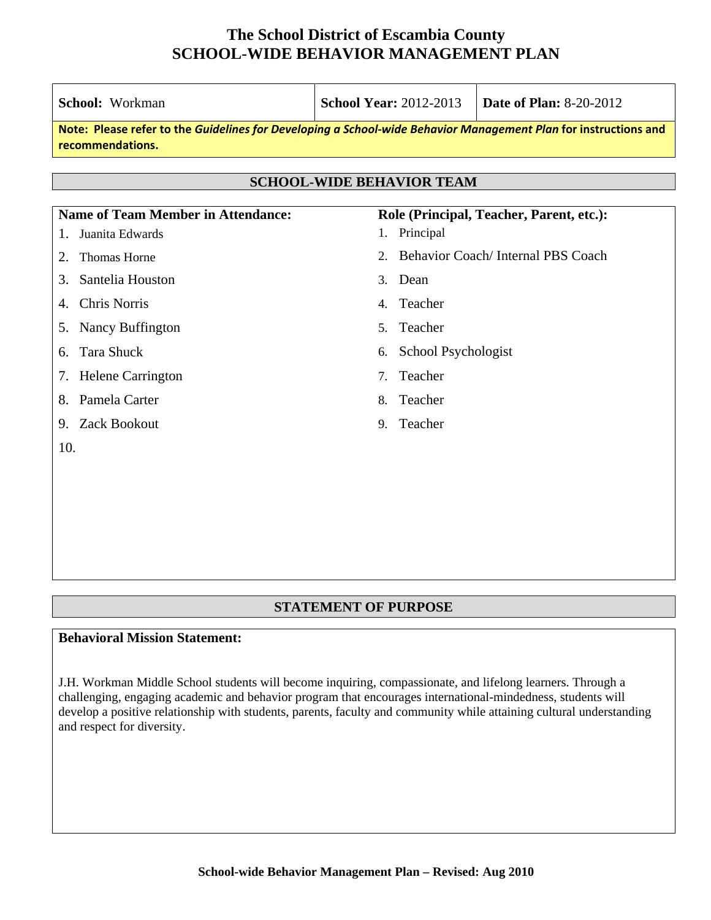| School: Workman                                                                                                                     | <b>School Year: 2012-2013</b> | <b>Date of Plan: 8-20-2012</b>           |  |  |  |
|-------------------------------------------------------------------------------------------------------------------------------------|-------------------------------|------------------------------------------|--|--|--|
| Note: Please refer to the Guidelines for Developing a School-wide Behavior Management Plan for instructions and<br>recommendations. |                               |                                          |  |  |  |
| <b>SCHOOL-WIDE BEHAVIOR TEAM</b>                                                                                                    |                               |                                          |  |  |  |
| <b>Name of Team Member in Attendance:</b>                                                                                           |                               | Role (Principal, Teacher, Parent, etc.): |  |  |  |
| Juanita Edwards<br>1.                                                                                                               | 1. Principal                  |                                          |  |  |  |
| <b>Thomas Horne</b><br>2.                                                                                                           | $\overline{2}$ .              | Behavior Coach/Internal PBS Coach        |  |  |  |
| Santelia Houston<br>3.                                                                                                              | Dean<br>3 <sub>1</sub>        |                                          |  |  |  |
| <b>Chris Norris</b><br>4.                                                                                                           | Teacher<br>4.                 |                                          |  |  |  |
| Nancy Buffington<br>5.                                                                                                              | Teacher<br>5 <sub>1</sub>     |                                          |  |  |  |
| <b>Tara Shuck</b><br>6.                                                                                                             | School Psychologist<br>6.     |                                          |  |  |  |
| <b>Helene Carrington</b><br>7.                                                                                                      | Teacher<br>7.                 |                                          |  |  |  |
| Pamela Carter<br>8.                                                                                                                 | Teacher<br>8.                 |                                          |  |  |  |
| 9. Zack Bookout                                                                                                                     | Teacher<br>9 <sub>1</sub>     |                                          |  |  |  |
| 10.                                                                                                                                 |                               |                                          |  |  |  |
|                                                                                                                                     |                               |                                          |  |  |  |
|                                                                                                                                     |                               |                                          |  |  |  |
|                                                                                                                                     |                               |                                          |  |  |  |

#### **STATEMENT OF PURPOSE**

#### **Behavioral Mission Statement:**

J.H. Workman Middle School students will become inquiring, compassionate, and lifelong learners. Through a challenging, engaging academic and behavior program that encourages international-mindedness, students will develop a positive relationship with students, parents, faculty and community while attaining cultural understanding and respect for diversity.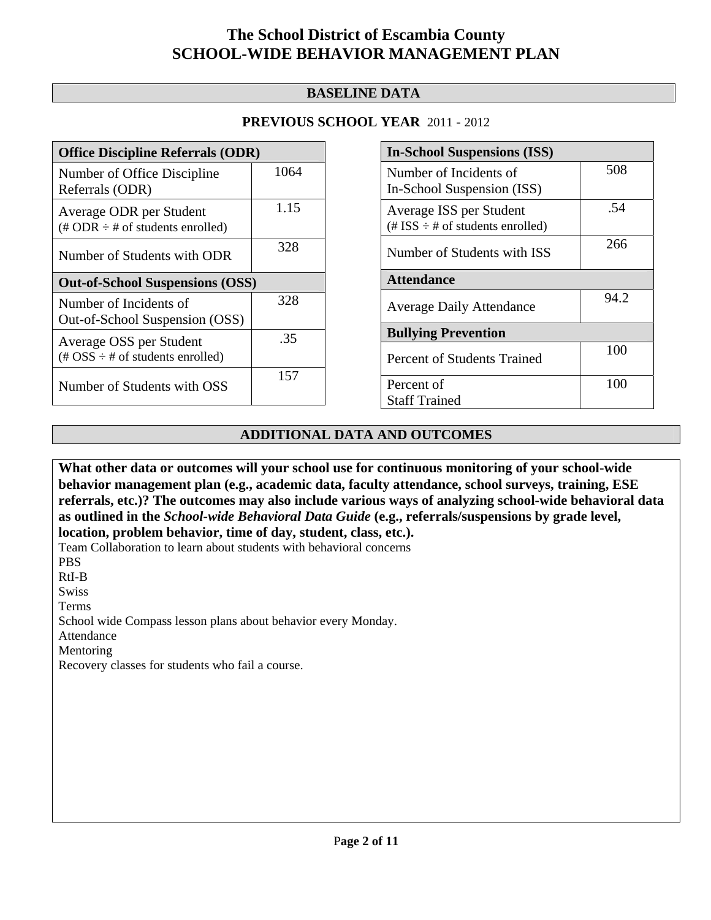### **BASELINE DATA**

### **PREVIOUS SCHOOL YEAR** 2011 - 2012

| <b>Office Discipline Referrals (ODR)</b>                                                        |      |  |
|-------------------------------------------------------------------------------------------------|------|--|
| Number of Office Discipline<br>Referrals (ODR)                                                  | 1064 |  |
| Average ODR per Student<br>$(\# ODR \div \# \text{ of students enrolled})$                      | 1.15 |  |
| Number of Students with ODR                                                                     | 328  |  |
| <b>Out-of-School Suspensions (OSS)</b>                                                          |      |  |
| Number of Incidents of<br>Out-of-School Suspension (OSS)                                        | 328  |  |
|                                                                                                 |      |  |
| Average OSS per Student<br>$(\text{\#} \text{OSS} \div \text{\#} \text{ of students enrolled})$ | .35  |  |

| <b>In-School Suspensions (ISS)</b>                               |      |  |
|------------------------------------------------------------------|------|--|
| Number of Incidents of                                           | 508  |  |
| In-School Suspension (ISS)                                       |      |  |
| Average ISS per Student<br>(# ISS $\div$ # of students enrolled) | .54  |  |
| Number of Students with ISS                                      | 266  |  |
| <b>Attendance</b>                                                |      |  |
| <b>Average Daily Attendance</b>                                  | 94.2 |  |
| <b>Bullying Prevention</b>                                       |      |  |
| Percent of Students Trained                                      | 100  |  |
| Percent of                                                       | 100  |  |
| <b>Staff Trained</b>                                             |      |  |

### **ADDITIONAL DATA AND OUTCOMES**

**What other data or outcomes will your school use for continuous monitoring of your school-wide behavior management plan (e.g., academic data, faculty attendance, school surveys, training, ESE referrals, etc.)? The outcomes may also include various ways of analyzing school-wide behavioral data as outlined in the** *School-wide Behavioral Data Guide* **(e.g., referrals/suspensions by grade level, location, problem behavior, time of day, student, class, etc.).**

Team Collaboration to learn about students with behavioral concerns PBS

RtI-B

Swiss

Terms

School wide Compass lesson plans about behavior every Monday.

Attendance

Mentoring

Recovery classes for students who fail a course.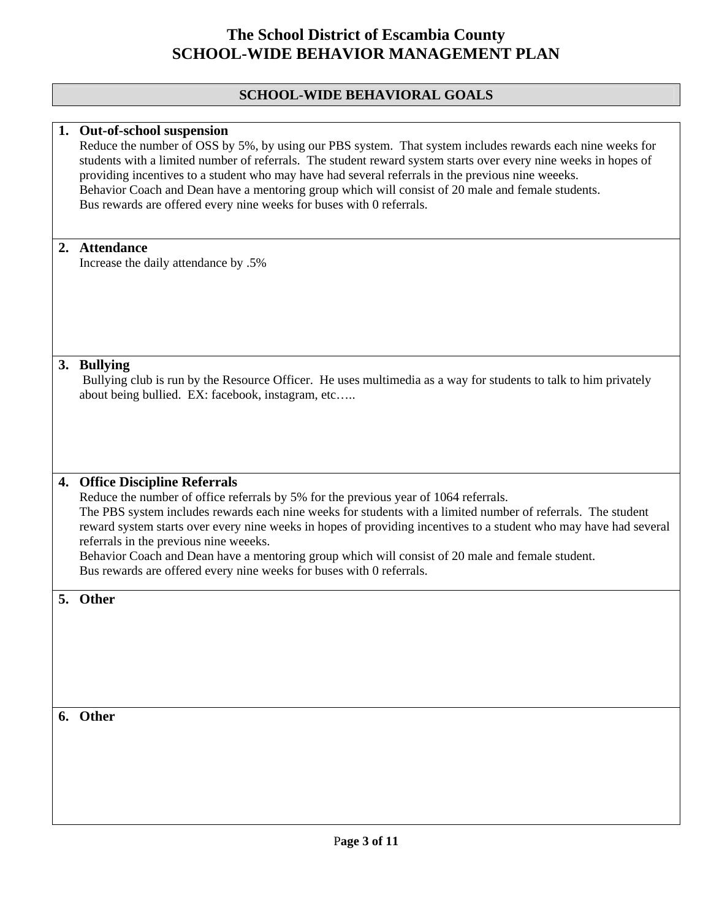## **SCHOOL-WIDE BEHAVIORAL GOALS**

|    | 1. Out-of-school suspension<br>Reduce the number of OSS by 5%, by using our PBS system. That system includes rewards each nine weeks for<br>students with a limited number of referrals. The student reward system starts over every nine weeks in hopes of<br>providing incentives to a student who may have had several referrals in the previous nine weeeks.<br>Behavior Coach and Dean have a mentoring group which will consist of 20 male and female students.<br>Bus rewards are offered every nine weeks for buses with 0 referrals.                                         |
|----|---------------------------------------------------------------------------------------------------------------------------------------------------------------------------------------------------------------------------------------------------------------------------------------------------------------------------------------------------------------------------------------------------------------------------------------------------------------------------------------------------------------------------------------------------------------------------------------|
|    | 2. Attendance<br>Increase the daily attendance by .5%                                                                                                                                                                                                                                                                                                                                                                                                                                                                                                                                 |
|    | 3. Bullying<br>Bullying club is run by the Resource Officer. He uses multimedia as a way for students to talk to him privately<br>about being bullied. EX: facebook, instagram, etc                                                                                                                                                                                                                                                                                                                                                                                                   |
| 4. | <b>Office Discipline Referrals</b><br>Reduce the number of office referrals by 5% for the previous year of 1064 referrals.<br>The PBS system includes rewards each nine weeks for students with a limited number of referrals. The student<br>reward system starts over every nine weeks in hopes of providing incentives to a student who may have had several<br>referrals in the previous nine weeeks.<br>Behavior Coach and Dean have a mentoring group which will consist of 20 male and female student.<br>Bus rewards are offered every nine weeks for buses with 0 referrals. |
|    | 5. Other                                                                                                                                                                                                                                                                                                                                                                                                                                                                                                                                                                              |
|    | 6. Other                                                                                                                                                                                                                                                                                                                                                                                                                                                                                                                                                                              |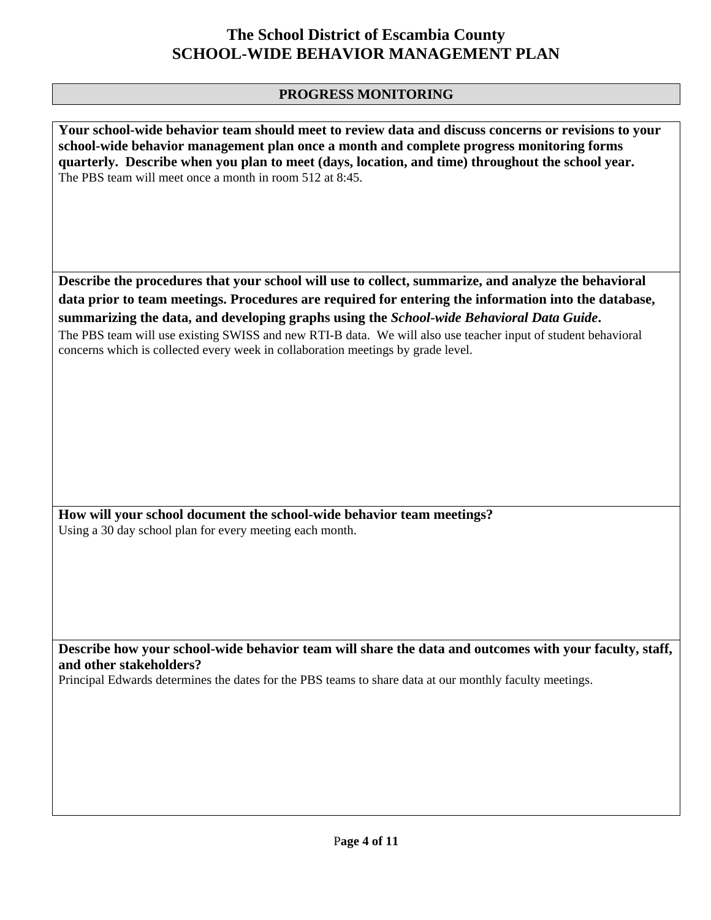#### **PROGRESS MONITORING**

**Your school-wide behavior team should meet to review data and discuss concerns or revisions to your school-wide behavior management plan once a month and complete progress monitoring forms quarterly. Describe when you plan to meet (days, location, and time) throughout the school year.**  The PBS team will meet once a month in room 512 at 8:45.

**Describe the procedures that your school will use to collect, summarize, and analyze the behavioral data prior to team meetings. Procedures are required for entering the information into the database, summarizing the data, and developing graphs using the** *School-wide Behavioral Data Guide***.** 

The PBS team will use existing SWISS and new RTI-B data. We will also use teacher input of student behavioral concerns which is collected every week in collaboration meetings by grade level.

**How will your school document the school-wide behavior team meetings?** Using a 30 day school plan for every meeting each month.

**Describe how your school-wide behavior team will share the data and outcomes with your faculty, staff, and other stakeholders?** 

Principal Edwards determines the dates for the PBS teams to share data at our monthly faculty meetings.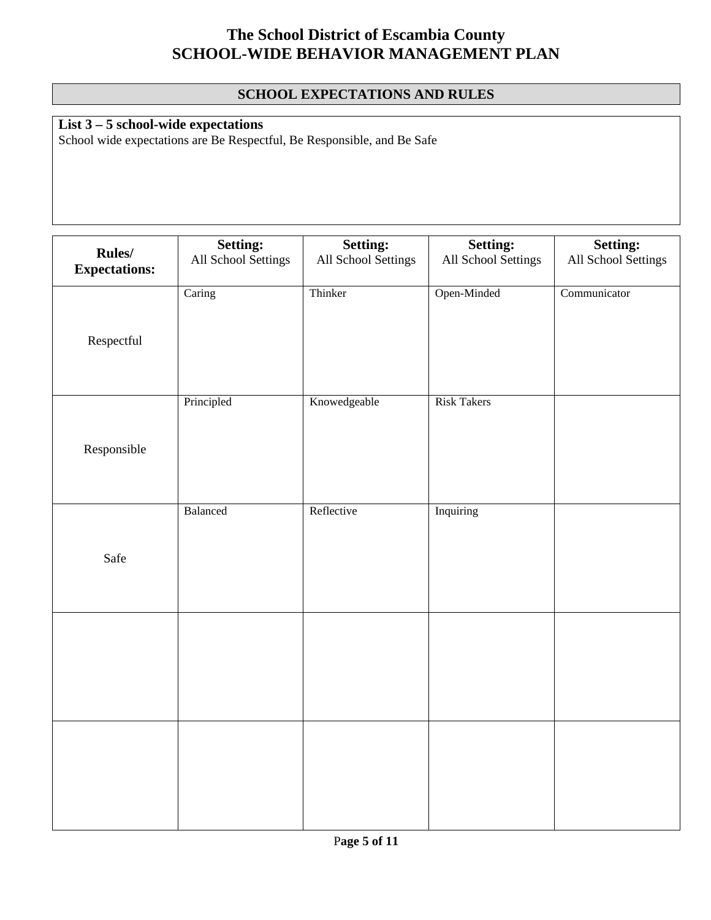### **SCHOOL EXPECTATIONS AND RULES**

**List 3 – 5 school-wide expectations**

School wide expectations are Be Respectful, Be Responsible, and Be Safe

|                                | Setting:            | Setting:            | Setting:            | <b>Setting:</b>     |
|--------------------------------|---------------------|---------------------|---------------------|---------------------|
| Rules/<br><b>Expectations:</b> | All School Settings | All School Settings | All School Settings | All School Settings |
| Respectful                     | Caring              | Thinker             | Open-Minded         | Communicator        |
| Responsible                    | Principled          | Knowedgeable        | <b>Risk Takers</b>  |                     |
| Safe                           | Balanced            | Reflective          | Inquiring           |                     |
|                                |                     |                     |                     |                     |
|                                |                     |                     |                     |                     |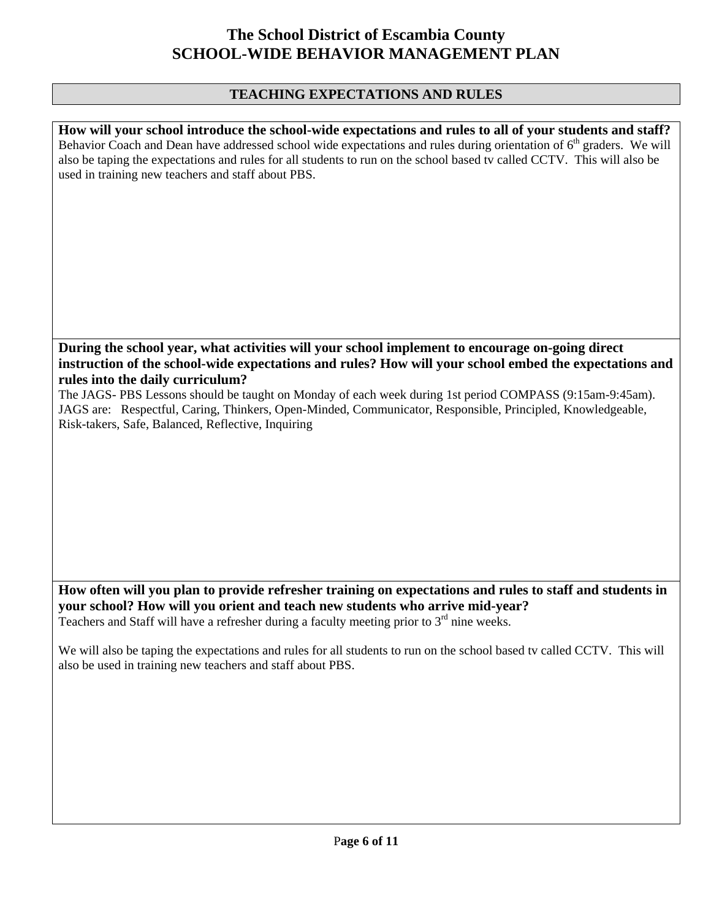#### **TEACHING EXPECTATIONS AND RULES**

**How will your school introduce the school-wide expectations and rules to all of your students and staff?**  Behavior Coach and Dean have addressed school wide expectations and rules during orientation of  $6<sup>th</sup>$  graders. We will also be taping the expectations and rules for all students to run on the school based tv called CCTV. This will also be used in training new teachers and staff about PBS.

#### **During the school year, what activities will your school implement to encourage on-going direct instruction of the school-wide expectations and rules? How will your school embed the expectations and rules into the daily curriculum?**

The JAGS- PBS Lessons should be taught on Monday of each week during 1st period COMPASS (9:15am-9:45am). JAGS are: Respectful, Caring, Thinkers, Open-Minded, Communicator, Responsible, Principled, Knowledgeable, Risk-takers, Safe, Balanced, Reflective, Inquiring

**How often will you plan to provide refresher training on expectations and rules to staff and students in your school? How will you orient and teach new students who arrive mid-year?**  Teachers and Staff will have a refresher during a faculty meeting prior to  $3<sup>rd</sup>$  nine weeks.

We will also be taping the expectations and rules for all students to run on the school based tv called CCTV. This will also be used in training new teachers and staff about PBS.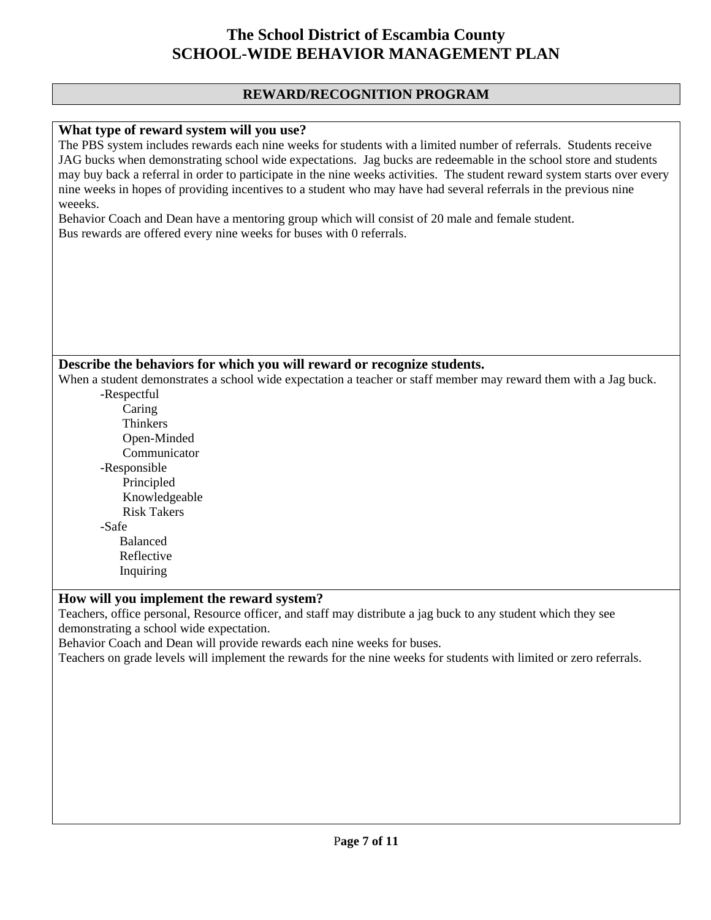#### **REWARD/RECOGNITION PROGRAM**

#### **What type of reward system will you use?**

The PBS system includes rewards each nine weeks for students with a limited number of referrals. Students receive JAG bucks when demonstrating school wide expectations. Jag bucks are redeemable in the school store and students may buy back a referral in order to participate in the nine weeks activities. The student reward system starts over every nine weeks in hopes of providing incentives to a student who may have had several referrals in the previous nine weeeks.

Behavior Coach and Dean have a mentoring group which will consist of 20 male and female student. Bus rewards are offered every nine weeks for buses with 0 referrals.

#### **Describe the behaviors for which you will reward or recognize students.**

When a student demonstrates a school wide expectation a teacher or staff member may reward them with a Jag buck. -Respectful

- Caring Thinkers Open-Minded Communicator -Responsible Principled Knowledgeable Risk Takers -Safe Balanced Reflective
- Inquiring

#### **How will you implement the reward system?**

Teachers, office personal, Resource officer, and staff may distribute a jag buck to any student which they see demonstrating a school wide expectation.

Behavior Coach and Dean will provide rewards each nine weeks for buses.

Teachers on grade levels will implement the rewards for the nine weeks for students with limited or zero referrals.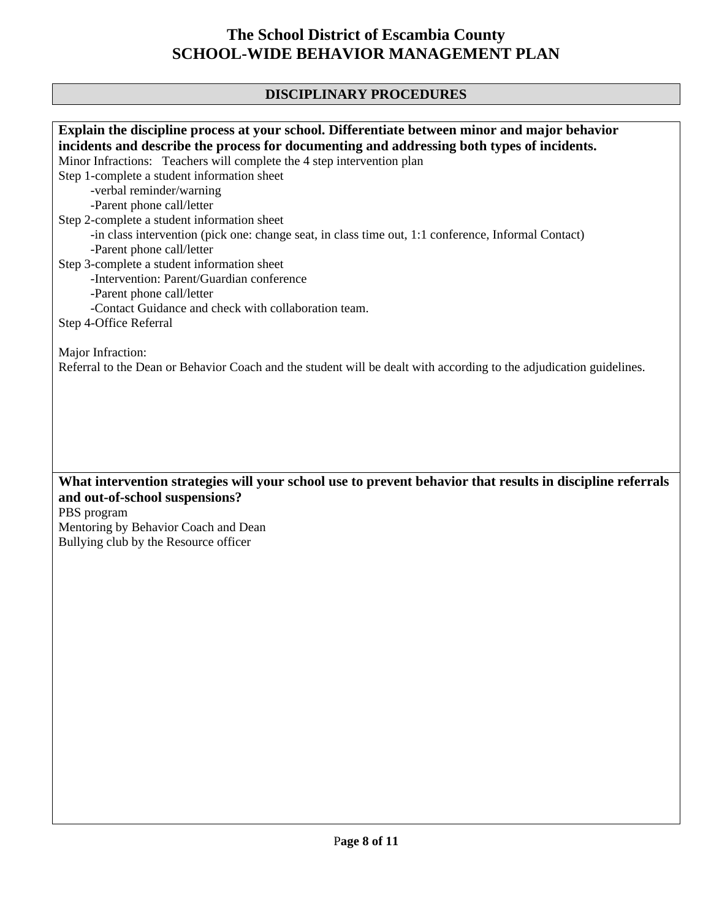## **DISCIPLINARY PROCEDURES**

| Explain the discipline process at your school. Differentiate between minor and major behavior                                            |
|------------------------------------------------------------------------------------------------------------------------------------------|
| incidents and describe the process for documenting and addressing both types of incidents.                                               |
| Minor Infractions: Teachers will complete the 4 step intervention plan                                                                   |
| Step 1-complete a student information sheet                                                                                              |
| -verbal reminder/warning                                                                                                                 |
| -Parent phone call/letter                                                                                                                |
| Step 2-complete a student information sheet                                                                                              |
| -in class intervention (pick one: change seat, in class time out, 1:1 conference, Informal Contact)                                      |
|                                                                                                                                          |
| -Parent phone call/letter                                                                                                                |
| Step 3-complete a student information sheet                                                                                              |
| -Intervention: Parent/Guardian conference                                                                                                |
| -Parent phone call/letter                                                                                                                |
| -Contact Guidance and check with collaboration team.                                                                                     |
| Step 4-Office Referral                                                                                                                   |
| Major Infraction:<br>Referral to the Dean or Behavior Coach and the student will be dealt with according to the adjudication guidelines. |
|                                                                                                                                          |
| What intervention strategies will your school use to prevent behavior that results in discipline referrals                               |
| and out-of-school suspensions?                                                                                                           |
| PBS program                                                                                                                              |
| Mentoring by Behavior Coach and Dean                                                                                                     |
| Bullying club by the Resource officer                                                                                                    |
|                                                                                                                                          |
|                                                                                                                                          |
|                                                                                                                                          |
|                                                                                                                                          |
|                                                                                                                                          |
|                                                                                                                                          |
|                                                                                                                                          |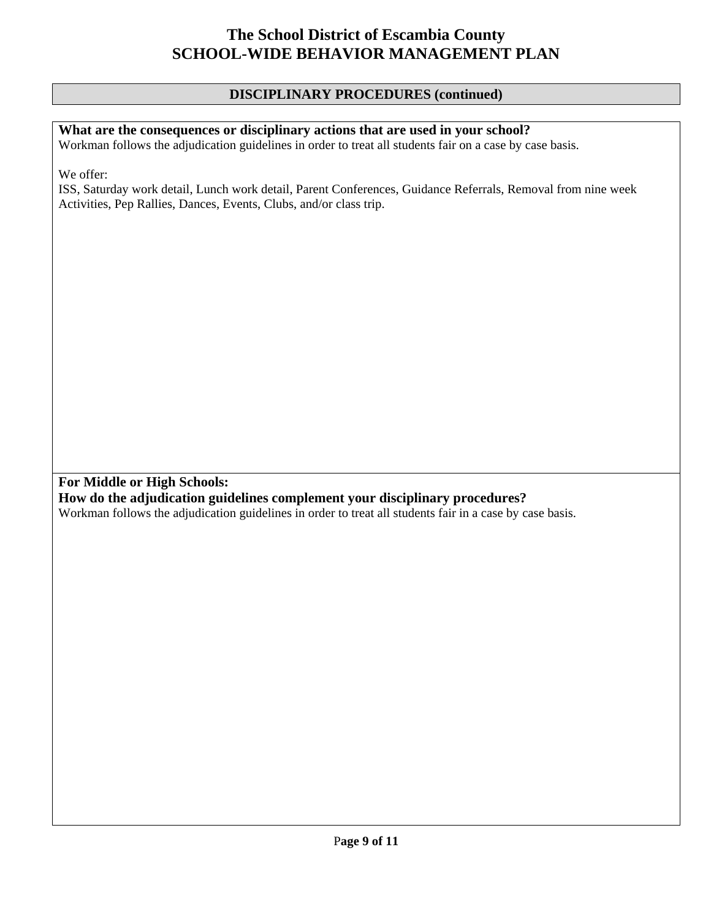#### **DISCIPLINARY PROCEDURES (continued)**

### **What are the consequences or disciplinary actions that are used in your school?**

Workman follows the adjudication guidelines in order to treat all students fair on a case by case basis.

We offer:

ISS, Saturday work detail, Lunch work detail, Parent Conferences, Guidance Referrals, Removal from nine week Activities, Pep Rallies, Dances, Events, Clubs, and/or class trip.

**For Middle or High Schools:** 

**How do the adjudication guidelines complement your disciplinary procedures?** 

Workman follows the adjudication guidelines in order to treat all students fair in a case by case basis.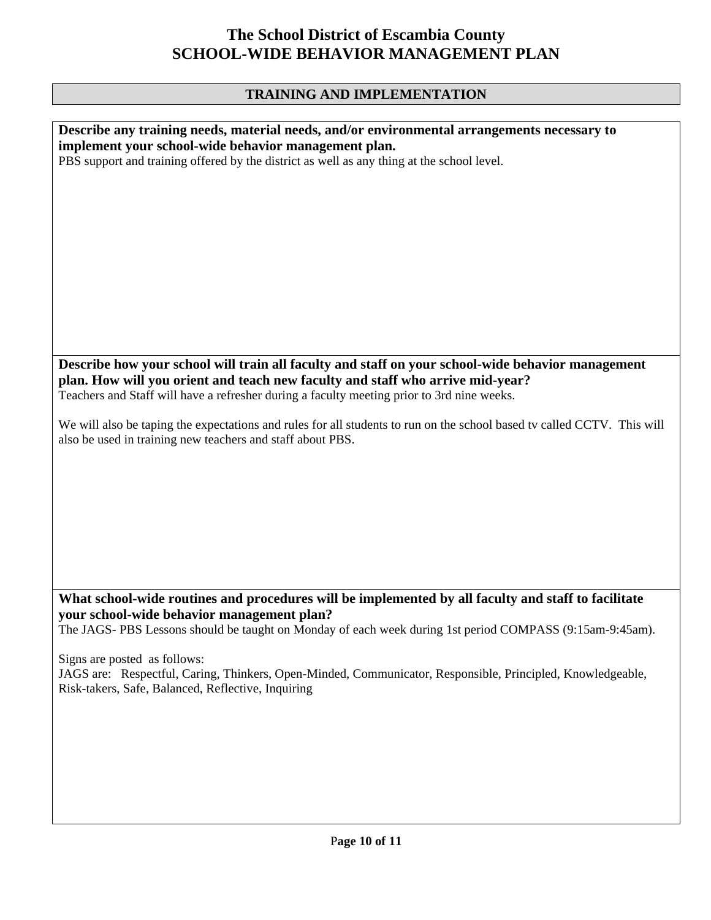## **TRAINING AND IMPLEMENTATION**

| Describe any training needs, material needs, and/or environmental arrangements necessary to<br>implement your school-wide behavior management plan.                                              |
|--------------------------------------------------------------------------------------------------------------------------------------------------------------------------------------------------|
| PBS support and training offered by the district as well as any thing at the school level.                                                                                                       |
|                                                                                                                                                                                                  |
|                                                                                                                                                                                                  |
|                                                                                                                                                                                                  |
|                                                                                                                                                                                                  |
|                                                                                                                                                                                                  |
|                                                                                                                                                                                                  |
| Describe how your school will train all faculty and staff on your school-wide behavior management<br>plan. How will you orient and teach new faculty and staff who arrive mid-year?              |
| Teachers and Staff will have a refresher during a faculty meeting prior to 3rd nine weeks.                                                                                                       |
| We will also be taping the expectations and rules for all students to run on the school based tv called CCTV. This will<br>also be used in training new teachers and staff about PBS.            |
|                                                                                                                                                                                                  |
|                                                                                                                                                                                                  |
|                                                                                                                                                                                                  |
|                                                                                                                                                                                                  |
|                                                                                                                                                                                                  |
| What school-wide routines and procedures will be implemented by all faculty and staff to facilitate<br>your school-wide behavior management plan?                                                |
| The JAGS-PBS Lessons should be taught on Monday of each week during 1st period COMPASS (9:15am-9:45am).                                                                                          |
| Signs are posted as follows:<br>JAGS are: Respectful, Caring, Thinkers, Open-Minded, Communicator, Responsible, Principled, Knowledgeable,<br>Risk-takers, Safe, Balanced, Reflective, Inquiring |
|                                                                                                                                                                                                  |
|                                                                                                                                                                                                  |
|                                                                                                                                                                                                  |
|                                                                                                                                                                                                  |
| Page 10 of 11                                                                                                                                                                                    |